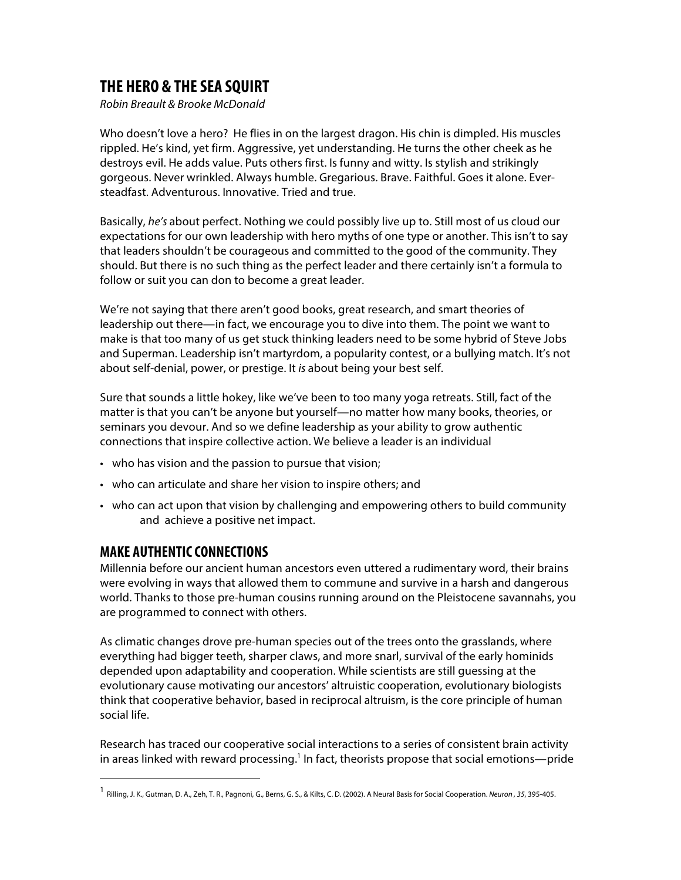## **THE HERO & THE SEA SQUIRT**

*Robin Breault & Brooke McDonald* 

Who doesn't love a hero? He flies in on the largest dragon. His chin is dimpled. His muscles rippled. He's kind, yet firm. Aggressive, yet understanding. He turns the other cheek as he destroys evil. He adds value. Puts others first. Is funny and witty. Is stylish and strikingly gorgeous. Never wrinkled. Always humble. Gregarious. Brave. Faithful. Goes it alone. Eversteadfast. Adventurous. Innovative. Tried and true.

Basically, *he's* about perfect. Nothing we could possibly live up to. Still most of us cloud our expectations for our own leadership with hero myths of one type or another. This isn't to say that leaders shouldn't be courageous and committed to the good of the community. They should. But there is no such thing as the perfect leader and there certainly isn't a formula to follow or suit you can don to become a great leader.

We're not saying that there aren't good books, great research, and smart theories of leadership out there—in fact, we encourage you to dive into them. The point we want to make is that too many of us get stuck thinking leaders need to be some hybrid of Steve Jobs and Superman. Leadership isn't martyrdom, a popularity contest, or a bullying match. It's not about self-denial, power, or prestige. It *is* about being your best self.

Sure that sounds a little hokey, like we've been to too many yoga retreats. Still, fact of the matter is that you can't be anyone but yourself—no matter how many books, theories, or seminars you devour. And so we define leadership as your ability to grow authentic connections that inspire collective action. We believe a leader is an individual

- who has vision and the passion to pursue that vision;
- who can articulate and share her vision to inspire others; and
- who can act upon that vision by challenging and empowering others to build community and achieve a positive net impact.

## **MAKE AUTHENTIC CONNECTIONS**

 

Millennia before our ancient human ancestors even uttered a rudimentary word, their brains were evolving in ways that allowed them to commune and survive in a harsh and dangerous world. Thanks to those pre-human cousins running around on the Pleistocene savannahs, you are programmed to connect with others.

As climatic changes drove pre-human species out of the trees onto the grasslands, where everything had bigger teeth, sharper claws, and more snarl, survival of the early hominids depended upon adaptability and cooperation. While scientists are still guessing at the evolutionary cause motivating our ancestors' altruistic cooperation, evolutionary biologists think that cooperative behavior, based in reciprocal altruism, is the core principle of human social life.

Research has traced our cooperative social interactions to a series of consistent brain activity in areas linked with reward processing.<sup>1</sup> In fact, theorists propose that social emotions—pride

<sup>1</sup> Rilling, J. K., Gutman, D. A., Zeh, T. R., Pagnoni, G., Berns, G. S., & Kilts, C. D. (2002). A Neural Basis for Social Cooperation. *Neuron , 35*, 395-405.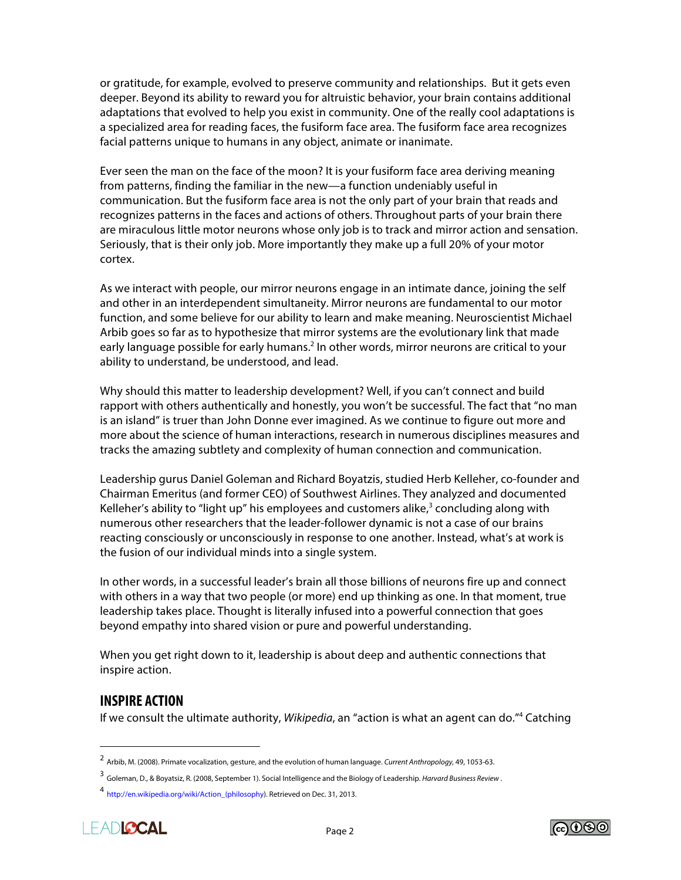or gratitude, for example, evolved to preserve community and relationships. But it gets even deeper. Beyond its ability to reward you for altruistic behavior, your brain contains additional adaptations that evolved to help you exist in community. One of the really cool adaptations is a specialized area for reading faces, the fusiform face area. The fusiform face area recognizes facial patterns unique to humans in any object, animate or inanimate.

Ever seen the man on the face of the moon? It is your fusiform face area deriving meaning from patterns, finding the familiar in the new—a function undeniably useful in communication. But the fusiform face area is not the only part of your brain that reads and recognizes patterns in the faces and actions of others. Throughout parts of your brain there are miraculous little motor neurons whose only job is to track and mirror action and sensation. Seriously, that is their only job. More importantly they make up a full 20% of your motor cortex.

As we interact with people, our mirror neurons engage in an intimate dance, joining the self and other in an interdependent simultaneity. Mirror neurons are fundamental to our motor function, and some believe for our ability to learn and make meaning. Neuroscientist Michael Arbib goes so far as to hypothesize that mirror systems are the evolutionary link that made early language possible for early humans.<sup>2</sup> In other words, mirror neurons are critical to your ability to understand, be understood, and lead.

Why should this matter to leadership development? Well, if you can't connect and build rapport with others authentically and honestly, you won't be successful. The fact that "no man is an island" is truer than John Donne ever imagined. As we continue to figure out more and more about the science of human interactions, research in numerous disciplines measures and tracks the amazing subtlety and complexity of human connection and communication.

Leadership gurus Daniel Goleman and Richard Boyatzis, studied Herb Kelleher, co-founder and Chairman Emeritus (and former CEO) of Southwest Airlines. They analyzed and documented Kelleher's ability to "light up" his employees and customers alike, $3$  concluding along with numerous other researchers that the leader-follower dynamic is not a case of our brains reacting consciously or unconsciously in response to one another. Instead, what's at work is the fusion of our individual minds into a single system.

In other words, in a successful leader's brain all those billions of neurons fire up and connect with others in a way that two people (or more) end up thinking as one. In that moment, true leadership takes place. Thought is literally infused into a powerful connection that goes beyond empathy into shared vision or pure and powerful understanding.

When you get right down to it, leadership is about deep and authentic connections that inspire action.

## **INSPIRE ACTION**

 

If we consult the ultimate authority, *Wikipedia*, an "action is what an agent can do."4 Catching

<sup>4</sup> http://en.wikipedia.org/wiki/Action\_(philosophy). Retrieved on Dec. 31, 2013.





<sup>2</sup> Arbib, M. (2008). Primate vocalization, gesture, and the evolution of human language. *Current Anthropology,* 49, 1053-63.

<sup>3</sup> Goleman, D., & Boyatsiz, R. (2008, September 1). Social Intelligence and the Biology of Leadership. *Harvard Business Review* .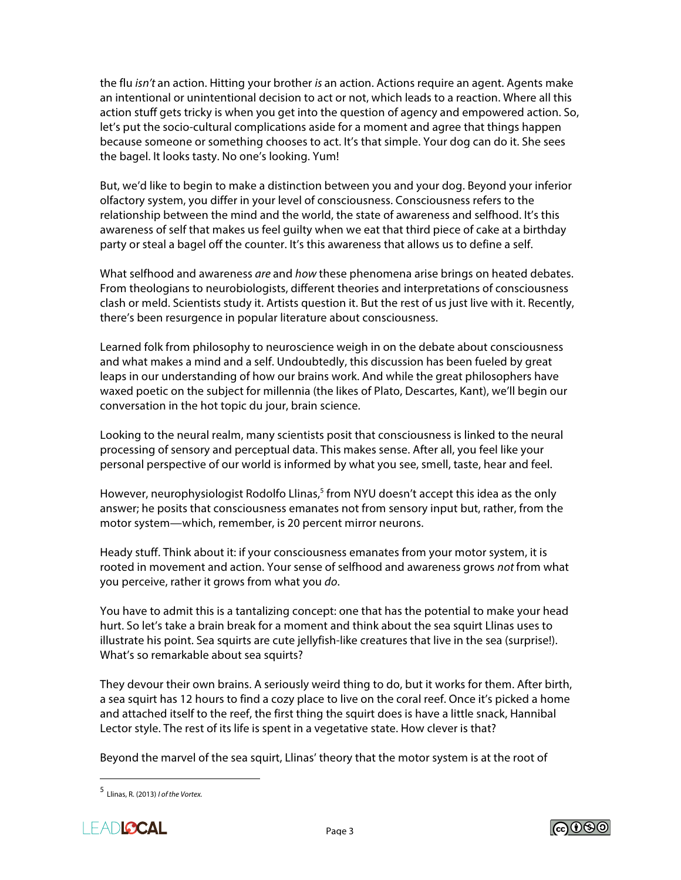the flu *isn't* an action. Hitting your brother *is* an action. Actions require an agent. Agents make an intentional or unintentional decision to act or not, which leads to a reaction. Where all this action stuff gets tricky is when you get into the question of agency and empowered action. So, let's put the socio-cultural complications aside for a moment and agree that things happen because someone or something chooses to act. It's that simple. Your dog can do it. She sees the bagel. It looks tasty. No one's looking. Yum!

But, we'd like to begin to make a distinction between you and your dog. Beyond your inferior olfactory system, you differ in your level of consciousness. Consciousness refers to the relationship between the mind and the world, the state of awareness and selfhood. It's this awareness of self that makes us feel guilty when we eat that third piece of cake at a birthday party or steal a bagel off the counter. It's this awareness that allows us to define a self.

What selfhood and awareness *are* and *how* these phenomena arise brings on heated debates. From theologians to neurobiologists, different theories and interpretations of consciousness clash or meld. Scientists study it. Artists question it. But the rest of us just live with it. Recently, there's been resurgence in popular literature about consciousness.

Learned folk from philosophy to neuroscience weigh in on the debate about consciousness and what makes a mind and a self. Undoubtedly, this discussion has been fueled by great leaps in our understanding of how our brains work. And while the great philosophers have waxed poetic on the subject for millennia (the likes of Plato, Descartes, Kant), we'll begin our conversation in the hot topic du jour, brain science.

Looking to the neural realm, many scientists posit that consciousness is linked to the neural processing of sensory and perceptual data. This makes sense. After all, you feel like your personal perspective of our world is informed by what you see, smell, taste, hear and feel.

However, neurophysiologist Rodolfo Llinas,<sup>5</sup> from NYU doesn't accept this idea as the only answer; he posits that consciousness emanates not from sensory input but, rather, from the motor system—which, remember, is 20 percent mirror neurons.

Heady stuff. Think about it: if your consciousness emanates from your motor system, it is rooted in movement and action. Your sense of selfhood and awareness grows *not* from what you perceive, rather it grows from what you *do*.

You have to admit this is a tantalizing concept: one that has the potential to make your head hurt. So let's take a brain break for a moment and think about the sea squirt Llinas uses to illustrate his point. Sea squirts are cute jellyfish-like creatures that live in the sea (surprise!). What's so remarkable about sea squirts?

They devour their own brains. A seriously weird thing to do, but it works for them. After birth, a sea squirt has 12 hours to find a cozy place to live on the coral reef. Once it's picked a home and attached itself to the reef, the first thing the squirt does is have a little snack, Hannibal Lector style. The rest of its life is spent in a vegetative state. How clever is that?

Beyond the marvel of the sea squirt, Llinas' theory that the motor system is at the root of

 





<sup>5</sup> Llinas, R. (2013) *I of the Vortex.*